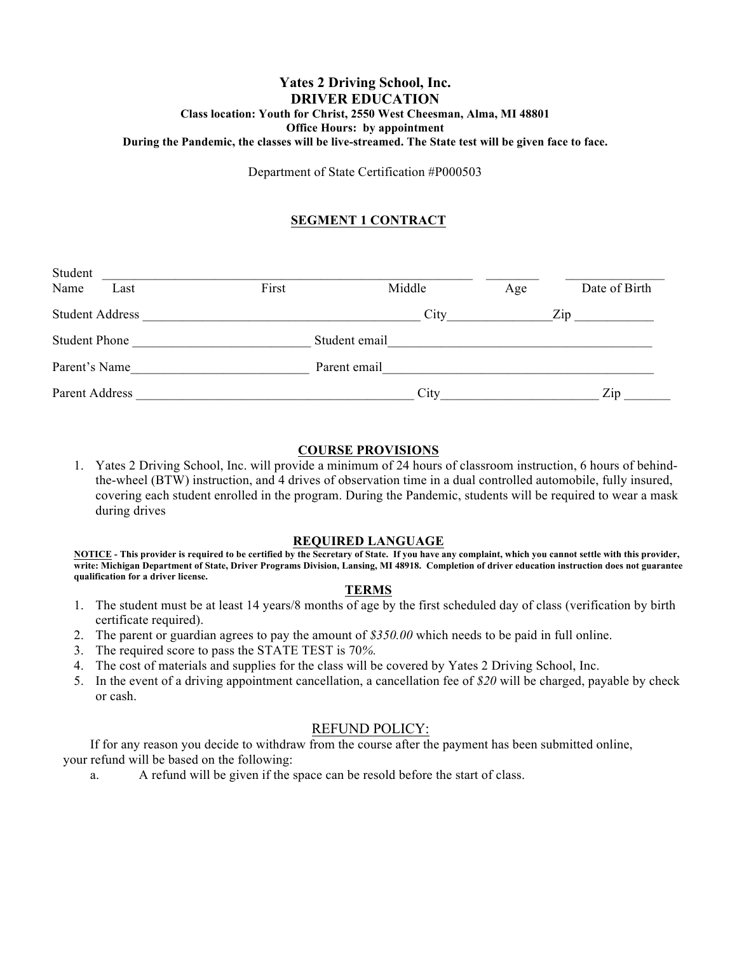### **Yates 2 Driving School, Inc. DRIVER EDUCATION Class location: Youth for Christ, 2550 West Cheesman, Alma, MI 48801 Office Hours: by appointment During the Pandemic, the classes will be live-streamed. The State test will be given face to face.**

Department of State Certification #P000503

# **SEGMENT 1 CONTRACT**

| Student                |               |              |     |                                  |
|------------------------|---------------|--------------|-----|----------------------------------|
| Name<br>Last           | First         | Middle       | Age | Date of Birth                    |
| <b>Student Address</b> |               | City         |     | Zip                              |
| <b>Student Phone</b>   | Student email |              |     |                                  |
| Parent's Name          |               | Parent email |     |                                  |
| Parent Address         |               | City         |     | $\mathop{\mathrm{Zip}}\nolimits$ |

# **COURSE PROVISIONS**

1. Yates 2 Driving School, Inc. will provide a minimum of 24 hours of classroom instruction, 6 hours of behindthe-wheel (BTW) instruction, and 4 drives of observation time in a dual controlled automobile, fully insured, covering each student enrolled in the program. During the Pandemic, students will be required to wear a mask during drives

#### **REQUIRED LANGUAGE**

**NOTICE - This provider is required to be certified by the Secretary of State. If you have any complaint, which you cannot settle with this provider, write: Michigan Department of State, Driver Programs Division, Lansing, MI 48918. Completion of driver education instruction does not guarantee qualification for a driver license.**

#### **TERMS**

- 1. The student must be at least 14 years/8 months of age by the first scheduled day of class (verification by birth certificate required).
- 2. The parent or guardian agrees to pay the amount of *\$350.00* which needs to be paid in full online.
- 3. The required score to pass the STATE TEST is 70*%.*
- 4. The cost of materials and supplies for the class will be covered by Yates 2 Driving School, Inc.
- 5. In the event of a driving appointment cancellation, a cancellation fee of *\$20* will be charged, payable by check or cash.

# REFUND POLICY:

If for any reason you decide to withdraw from the course after the payment has been submitted online, your refund will be based on the following:

a. A refund will be given if the space can be resold before the start of class.